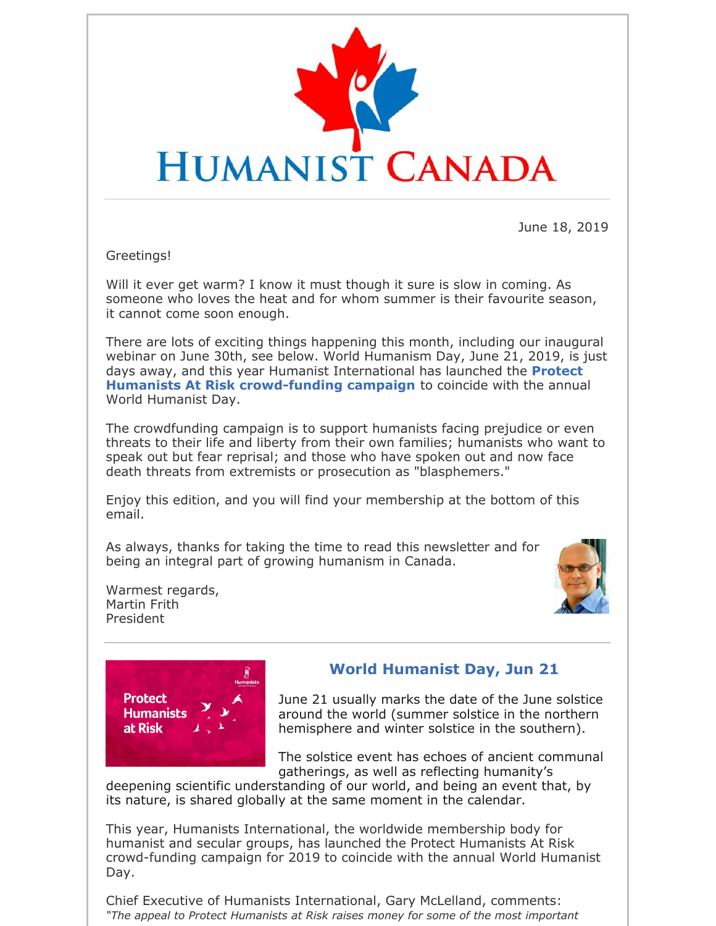

June 18, 2019

Greetings!

Will it ever get warm? I know it must though it sure is slow in coming. As someone who loves the heat and for whom summer is their favourite season, it cannot come soon enough.

There are lots of exciting things happening this month, including our inaugural webinar on June 30th, see below. World Humanism Day, June 21, 2019, is just days away, and this year Humanist International has launched the **Protect Humanists At Risk crowd-funding campaign** to coincide with the annual World Humanist Day.

The crowdfunding campaign is to support humanists facing prejudice or even threats to their life and liberty from their own families; humanists who want to speak out but fear reprisal; and those who have spoken out and now face death threats from extremists or prosecution as "blasphemers."

Enjoy this edition, and you will find your membership at the bottom of this email.

As always, thanks for taking the time to read this newsletter and for being an integral part of growing humanism in Canada.



Warmest regards, Martin Frith President



## **World Humanist Day, Jun 21**

June 21 usually marks the date of the June solstice around the world (summer solstice in the northern hemisphere and winter solstice in the southern).

The solstice event has echoes of ancient communal gatherings, as well as reflecting humanity's

deepening scientific understanding of our world, and being an event that, by its nature, is shared globally at the same moment in the calendar.

This year, Humanists International, the worldwide membership body for humanist and secular groups, has launched the Protect Humanists At Risk crowd-funding campaign for 2019 to coincide with the annual World Humanist Day.

Chief Executive of Humanists International, Gary McLelland, comments: *"The appeal to Protect Humanists at Risk raises money for some of the most important*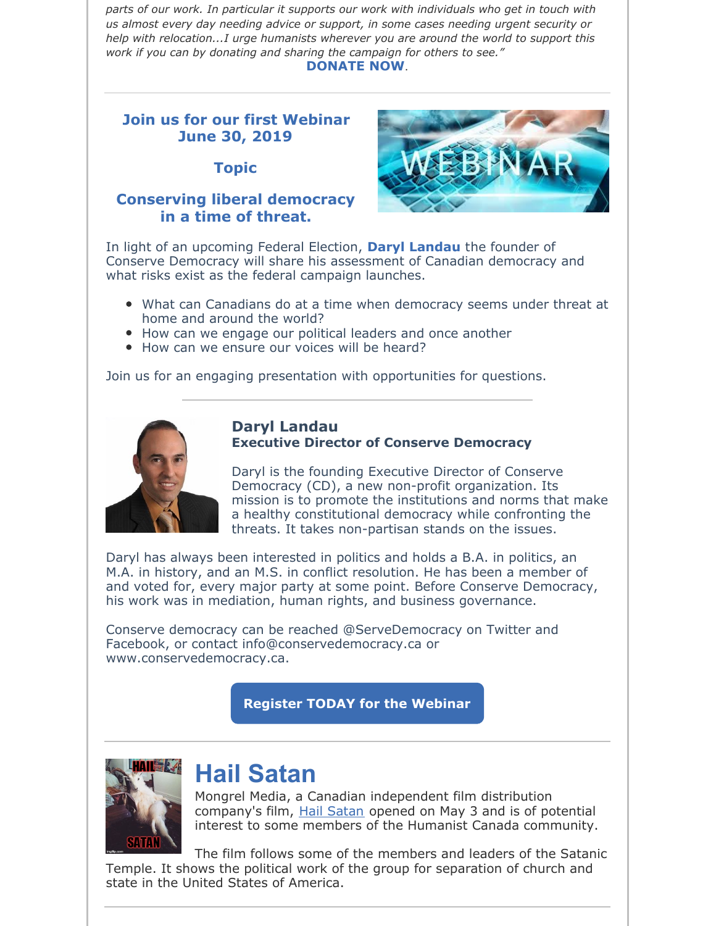*parts of our work. In particular it supports our work with individuals who get in touch with us almost every day needing advice or support, in some cases needing urgent security or help with relocation...I urge humanists wherever you are around the world to support this work if you can by donating and sharing the campaign for others to see."* **DONATE NOW**.

### **Join us for our first Webinar June 30, 2019**

**Topic**

### **Conserving liberal democracy in a time of threat.**



In light of an upcoming Federal Election, **Daryl Landau** the founder of Conserve Democracy will share his assessment of Canadian democracy and what risks exist as the federal campaign launches.

- What can Canadians do at a time when democracy seems under threat at home and around the world?
- How can we engage our political leaders and once another
- How can we ensure our voices will be heard?

Join us for an engaging presentation with opportunities for questions.



#### **Daryl Landau Executive Director of Conserve Democracy**

Daryl is the founding Executive Director of Conserve Democracy (CD), a new non-profit organization. Its mission is to promote the institutions and norms that make a healthy constitutional democracy while confronting the threats. It takes non-partisan stands on the issues.

Daryl has always been interested in politics and holds a B.A. in politics, an M.A. in history, and an M.S. in conflict resolution. He has been a member of and voted for, every major party at some point. Before Conserve Democracy, his work was in mediation, human rights, and business governance.

Conserve democracy can be reached @ServeDemocracy on Twitter and Facebook, or contact info@conservedemocracy.ca or www.conservedemocracy.ca.

**Register TODAY for the Webinar**



# **Hail Satan**

Mongrel Media, a Canadian independent film distribution company's film, Hail Satan opened on May 3 and is of potential interest to some members of the Humanist Canada community.

The film follows some of the members and leaders of the Satanic Temple. It shows the political work of the group for separation of church and state in the United States of America.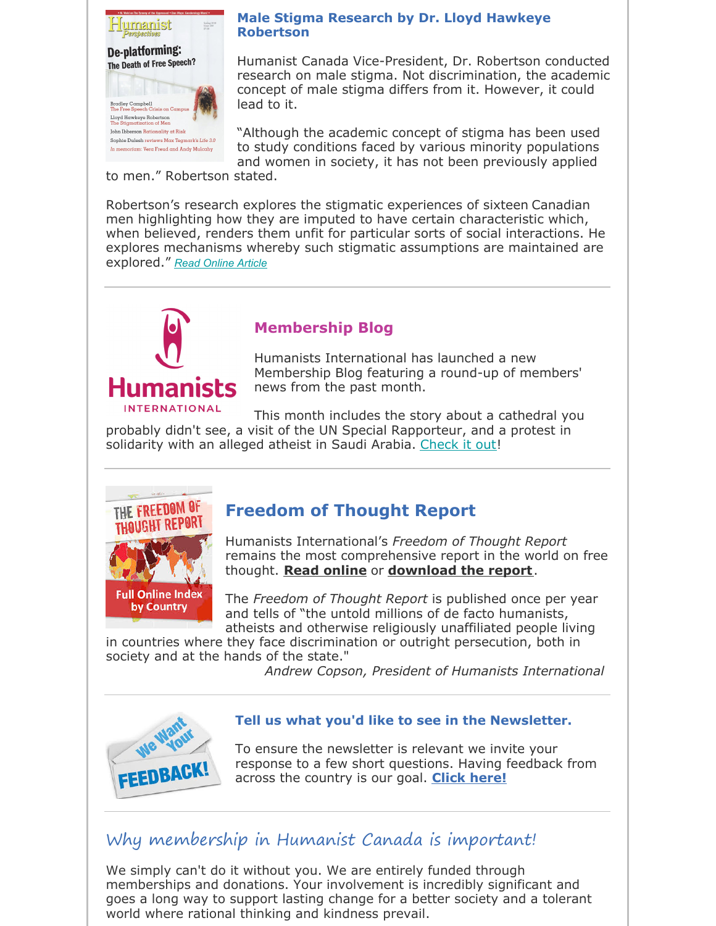

#### **Male Stigma Research by Dr. Lloyd Hawkeye Robertson**

Humanist Canada Vice-President, Dr. Robertson conducted research on male stigma. Not discrimination, the academic concept of male stigma differs from it. However, it could lead to it.

"Although the academic concept of stigma has been used to study conditions faced by various minority populations and women in society, it has not been previously applied

to men." Robertson stated.

Robertson's research explores the stigmatic experiences of sixteen Canadian men highlighting how they are imputed to have certain characteristic which, when believed, renders them unfit for particular sorts of social interactions. He explores mechanisms whereby such stigmatic assumptions are maintained are explored." *Read Online Article*



# **Membership Blog**

Humanists International has launched a new Membership Blog featuring a round-up of members' news from the past month.

This month includes the story about a cathedral you probably didn't see, a visit of the UN Special Rapporteur, and a protest in solidarity with an alleged atheist in Saudi Arabia. Check it out!



# **Freedom of Thought Report**

Humanists International's *Freedom of Thought Report* remains the most comprehensive report in the world on free thought. **Read online** or **download the report**.

The *Freedom of Thought Report* is published once per year and tells of "the untold millions of de facto humanists, atheists and otherwise religiously unaffiliated people living

in countries where they face discrimination or outright persecution, both in society and at the hands of the state."

*Andrew Copson, President of Humanists International*



### **Tell us what you'd like to see in the Newsletter.**

To ensure the newsletter is relevant we invite your response to a few short questions. Having feedback from across the country is our goal. **Click here!**

# Why membership in Humanist Canada is important!

We simply can't do it without you. We are entirely funded through memberships and donations. Your involvement is incredibly significant and goes a long way to support lasting change for a better society and a tolerant world where rational thinking and kindness prevail.